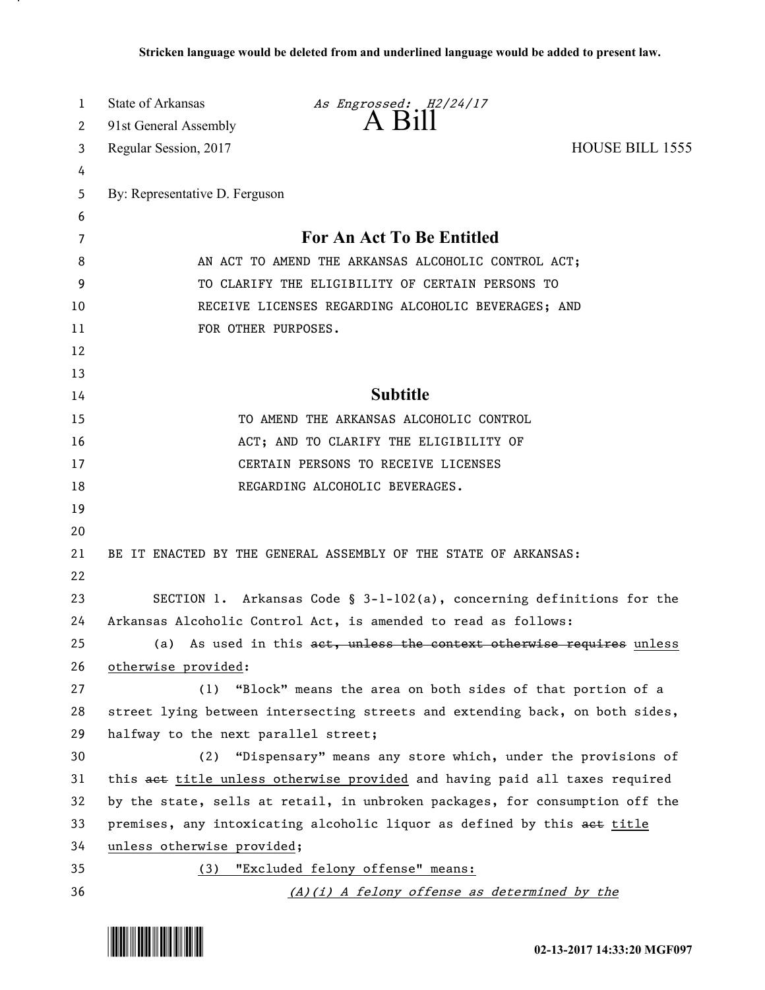| 1  | State of Arkansas                                                            | As Engrossed: H2/24/17                                                       |                 |
|----|------------------------------------------------------------------------------|------------------------------------------------------------------------------|-----------------|
| 2  | 91st General Assembly                                                        | $A$ $H11$                                                                    |                 |
| 3  | Regular Session, 2017                                                        |                                                                              | HOUSE BILL 1555 |
| 4  |                                                                              |                                                                              |                 |
| 5  | By: Representative D. Ferguson                                               |                                                                              |                 |
| 6  |                                                                              |                                                                              |                 |
| 7  | For An Act To Be Entitled                                                    |                                                                              |                 |
| 8  | AN ACT TO AMEND THE ARKANSAS ALCOHOLIC CONTROL ACT;                          |                                                                              |                 |
| 9  | TO CLARIFY THE ELIGIBILITY OF CERTAIN PERSONS TO                             |                                                                              |                 |
| 10 | RECEIVE LICENSES REGARDING ALCOHOLIC BEVERAGES; AND                          |                                                                              |                 |
| 11 | FOR OTHER PURPOSES.                                                          |                                                                              |                 |
| 12 |                                                                              |                                                                              |                 |
| 13 |                                                                              |                                                                              |                 |
| 14 | <b>Subtitle</b>                                                              |                                                                              |                 |
| 15 |                                                                              | TO AMEND THE ARKANSAS ALCOHOLIC CONTROL                                      |                 |
| 16 |                                                                              | ACT; AND TO CLARIFY THE ELIGIBILITY OF                                       |                 |
| 17 | CERTAIN PERSONS TO RECEIVE LICENSES                                          |                                                                              |                 |
| 18 |                                                                              | REGARDING ALCOHOLIC BEVERAGES.                                               |                 |
| 19 |                                                                              |                                                                              |                 |
| 20 |                                                                              |                                                                              |                 |
| 21 | BE IT ENACTED BY THE GENERAL ASSEMBLY OF THE STATE OF ARKANSAS:              |                                                                              |                 |
| 22 |                                                                              |                                                                              |                 |
| 23 |                                                                              | SECTION 1. Arkansas Code § $3-l-102(a)$ , concerning definitions for the     |                 |
| 24 |                                                                              | Arkansas Alcoholic Control Act, is amended to read as follows:               |                 |
| 25 |                                                                              | (a) As used in this act, unless the context otherwise requires unless        |                 |
| 26 | otherwise provided:                                                          |                                                                              |                 |
| 27 | (1)                                                                          | "Block" means the area on both sides of that portion of a                    |                 |
| 28 |                                                                              | street lying between intersecting streets and extending back, on both sides, |                 |
| 29 | halfway to the next parallel street;                                         |                                                                              |                 |
| 30 | (2)                                                                          | "Dispensary" means any store which, under the provisions of                  |                 |
| 31 |                                                                              | this aet title unless otherwise provided and having paid all taxes required  |                 |
| 32 | by the state, sells at retail, in unbroken packages, for consumption off the |                                                                              |                 |
| 33 | premises, any intoxicating alcoholic liquor as defined by this aet title     |                                                                              |                 |
| 34 | unless otherwise provided;                                                   |                                                                              |                 |
| 35 | (3) "Excluded felony offense" means:                                         |                                                                              |                 |
| 36 |                                                                              | (A)(i) A felony offense as determined by the                                 |                 |



.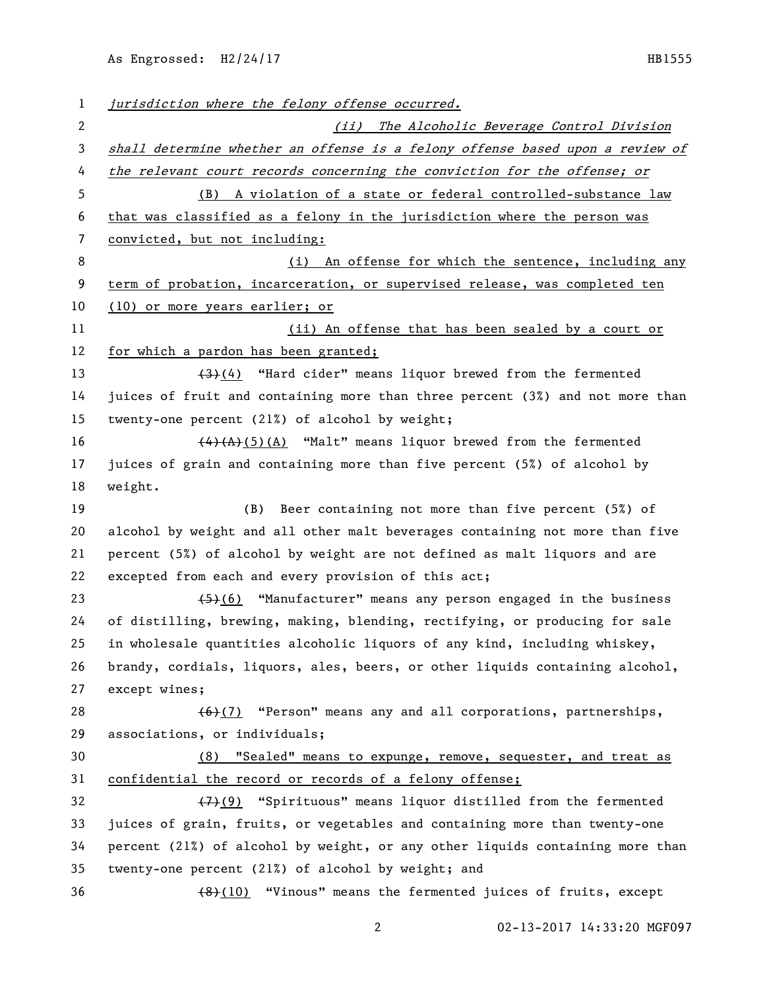As Engrossed: H2/24/17 HB1555

| $\mathbf{1}$          | jurisdiction where the felony offense occurred.                                           |  |  |
|-----------------------|-------------------------------------------------------------------------------------------|--|--|
| $\mathbf{2}^{\prime}$ | (ii) The Alcoholic Beverage Control Division                                              |  |  |
| 3                     | shall determine whether an offense is a felony offense based upon a review of             |  |  |
| 4                     | the relevant court records concerning the conviction for the offense; or                  |  |  |
| 5                     | (B) A violation of a state or federal controlled-substance law                            |  |  |
| 6                     | that was classified as a felony in the jurisdiction where the person was                  |  |  |
| 7                     | convicted, but not including:                                                             |  |  |
| 8                     | (i) An offense for which the sentence, including any                                      |  |  |
| 9                     | term of probation, incarceration, or supervised release, was completed ten                |  |  |
| 10                    | (10) or more years earlier; or                                                            |  |  |
| 11                    | (ii) An offense that has been sealed by a court or                                        |  |  |
| 12                    | for which a pardon has been granted;                                                      |  |  |
| 13                    | $(3)$ (4) "Hard cider" means liquor brewed from the fermented                             |  |  |
| 14                    | juices of fruit and containing more than three percent (3%) and not more than             |  |  |
| 15                    | twenty-one percent (21%) of alcohol by weight;                                            |  |  |
| 16                    | $\overline{(4)}$ $\overline{(A)}$ $(5)$ (A) "Malt" means liquor brewed from the fermented |  |  |
| 17                    | juices of grain and containing more than five percent (5%) of alcohol by                  |  |  |
| 18                    | weight.                                                                                   |  |  |
| 19                    | (B) Beer containing not more than five percent (5%) of                                    |  |  |
| 20                    | alcohol by weight and all other malt beverages containing not more than five              |  |  |
| 21                    | percent (5%) of alcohol by weight are not defined as malt liquors and are                 |  |  |
| 22                    | excepted from each and every provision of this act;                                       |  |  |
| 23                    | $(5)(6)$ "Manufacturer" means any person engaged in the business                          |  |  |
| 24                    | of distilling, brewing, making, blending, rectifying, or producing for sale               |  |  |
| 25                    | in wholesale quantities alcoholic liquors of any kind, including whiskey,                 |  |  |
| 26                    | brandy, cordials, liquors, ales, beers, or other liquids containing alcohol,              |  |  |
| 27                    | except wines;                                                                             |  |  |
| 28                    | $(6)(7)$ "Person" means any and all corporations, partnerships,                           |  |  |
| 29                    | associations, or individuals;                                                             |  |  |
| 30                    | (8) "Sealed" means to expunge, remove, sequester, and treat as                            |  |  |
| 31                    | confidential the record or records of a felony offense;                                   |  |  |
| 32                    | (7)(9) "Spirituous" means liquor distilled from the fermented                             |  |  |
| 33                    | juices of grain, fruits, or vegetables and containing more than twenty-one                |  |  |
| 34                    | percent (21%) of alcohol by weight, or any other liquids containing more than             |  |  |
| 35                    | twenty-one percent (21%) of alcohol by weight; and                                        |  |  |
| 36                    | $(48)(10)$ "Vinous" means the fermented juices of fruits, except                          |  |  |
|                       |                                                                                           |  |  |

02-13-2017 14:33:20 MGF097